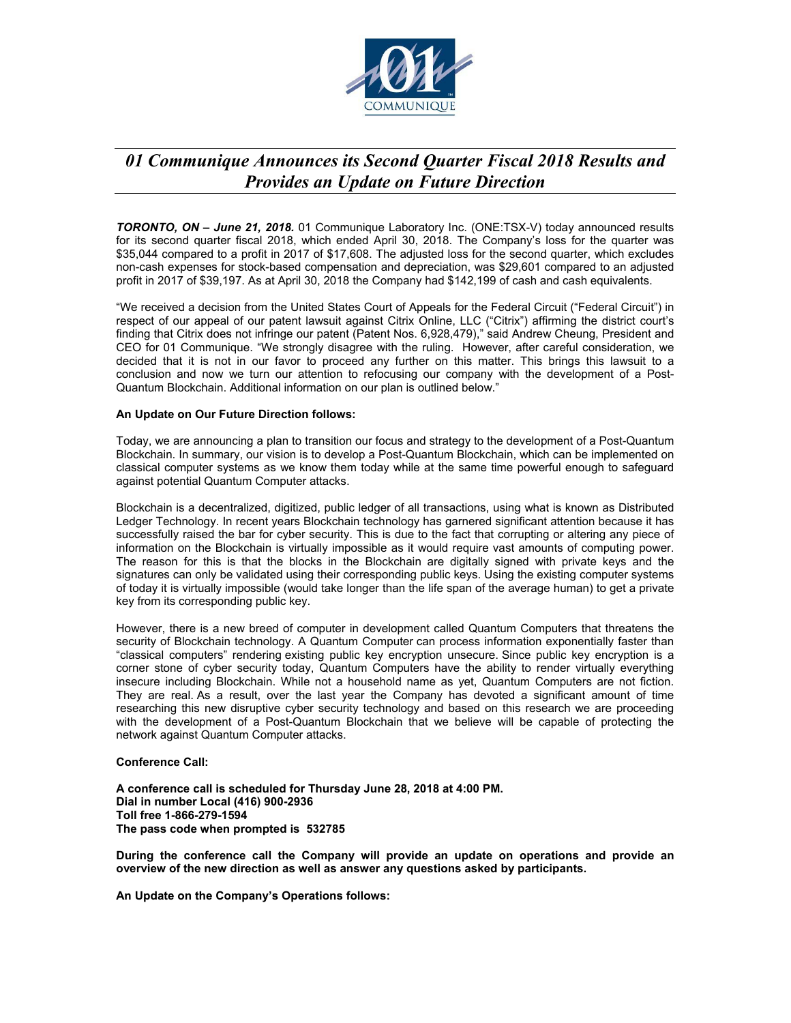

# *01 Communique Announces its Second Quarter Fiscal 2018 Results and Provides an Update on Future Direction*

*TORONTO, ON – June 21, 2018.* 01 Communique Laboratory Inc. (ONE:TSX-V) today announced results for its second quarter fiscal 2018, which ended April 30, 2018. The Company's loss for the quarter was \$35,044 compared to a profit in 2017 of \$17,608. The adjusted loss for the second quarter, which excludes non-cash expenses for stock-based compensation and depreciation, was \$29,601 compared to an adjusted profit in 2017 of \$39,197. As at April 30, 2018 the Company had \$142,199 of cash and cash equivalents.

"We received a decision from the United States Court of Appeals for the Federal Circuit ("Federal Circuit") in respect of our appeal of our patent lawsuit against Citrix Online, LLC ("Citrix") affirming the district court's finding that Citrix does not infringe our patent (Patent Nos. 6,928,479)," said Andrew Cheung, President and CEO for 01 Communique. "We strongly disagree with the ruling. However, after careful consideration, we decided that it is not in our favor to proceed any further on this matter. This brings this lawsuit to a conclusion and now we turn our attention to refocusing our company with the development of a Post-Quantum Blockchain. Additional information on our plan is outlined below."

#### **An Update on Our Future Direction follows:**

Today, we are announcing a plan to transition our focus and strategy to the development of a Post-Quantum Blockchain. In summary, our vision is to develop a Post-Quantum Blockchain, which can be implemented on classical computer systems as we know them today while at the same time powerful enough to safeguard against potential Quantum Computer attacks.

Blockchain is a decentralized, digitized, public ledger of all transactions, using what is known as Distributed Ledger Technology. In recent years Blockchain technology has garnered significant attention because it has successfully raised the bar for cyber security. This is due to the fact that corrupting or altering any piece of information on the Blockchain is virtually impossible as it would require vast amounts of computing power. The reason for this is that the blocks in the Blockchain are digitally signed with private keys and the signatures can only be validated using their corresponding public keys. Using the existing computer systems of today it is virtually impossible (would take longer than the life span of the average human) to get a private key from its corresponding public key.

However, there is a new breed of computer in development called Quantum Computers that threatens the security of Blockchain technology. A Quantum Computer can process information exponentially faster than "classical computers" rendering existing public key encryption unsecure. Since public key encryption is a corner stone of cyber security today, Quantum Computers have the ability to render virtually everything insecure including Blockchain. While not a household name as yet, Quantum Computers are not fiction. They are real. As a result, over the last year the Company has devoted a significant amount of time researching this new disruptive cyber security technology and based on this research we are proceeding with the development of a Post-Quantum Blockchain that we believe will be capable of protecting the network against Quantum Computer attacks.

#### **Conference Call:**

**A conference call is scheduled for Thursday June 28, 2018 at 4:00 PM. Dial in number Local (416) 900-2936 Toll free 1-866-279-1594 The pass code when prompted is 532785** 

**During the conference call the Company will provide an update on operations and provide an overview of the new direction as well as answer any questions asked by participants.** 

**An Update on the Company's Operations follows:**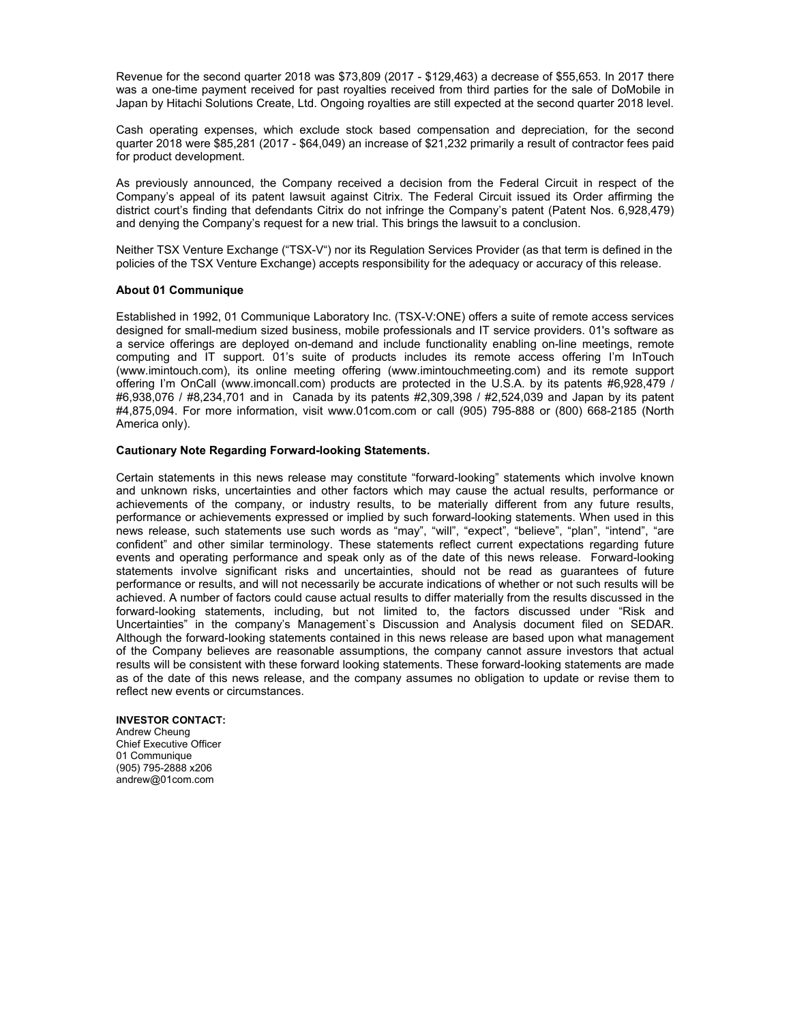Revenue for the second quarter 2018 was \$73,809 (2017 - \$129,463) a decrease of \$55,653. In 2017 there was a one-time payment received for past royalties received from third parties for the sale of DoMobile in Japan by Hitachi Solutions Create, Ltd. Ongoing royalties are still expected at the second quarter 2018 level.

Cash operating expenses, which exclude stock based compensation and depreciation, for the second quarter 2018 were \$85,281 (2017 - \$64,049) an increase of \$21,232 primarily a result of contractor fees paid for product development.

As previously announced, the Company received a decision from the Federal Circuit in respect of the Company's appeal of its patent lawsuit against Citrix. The Federal Circuit issued its Order affirming the district court's finding that defendants Citrix do not infringe the Company's patent (Patent Nos. 6,928,479) and denying the Company's request for a new trial. This brings the lawsuit to a conclusion.

Neither TSX Venture Exchange ("TSX-V") nor its Regulation Services Provider (as that term is defined in the policies of the TSX Venture Exchange) accepts responsibility for the adequacy or accuracy of this release.

#### **About 01 Communique**

Established in 1992, 01 Communique Laboratory Inc. (TSX-V:ONE) offers a suite of remote access services designed for small-medium sized business, mobile professionals and IT service providers. 01's software as a service offerings are deployed on-demand and include functionality enabling on-line meetings, remote computing and IT support. 01's suite of products includes its remote access offering I'm InTouch (www.imintouch.com), its online meeting offering (www.imintouchmeeting.com) and its remote support offering I'm OnCall (www.imoncall.com) products are protected in the U.S.A. by its patents #6,928,479 / #6,938,076 / #8,234,701 and in Canada by its patents #2,309,398 / #2,524,039 and Japan by its patent #4,875,094. For more information, visit www.01com.com or call (905) 795-888 or (800) 668-2185 (North America only).

#### **Cautionary Note Regarding Forward-looking Statements.**

Certain statements in this news release may constitute "forward-looking" statements which involve known and unknown risks, uncertainties and other factors which may cause the actual results, performance or achievements of the company, or industry results, to be materially different from any future results, performance or achievements expressed or implied by such forward-looking statements. When used in this news release, such statements use such words as "may", "will", "expect", "believe", "plan", "intend", "are confident" and other similar terminology. These statements reflect current expectations regarding future events and operating performance and speak only as of the date of this news release. Forward-looking statements involve significant risks and uncertainties, should not be read as guarantees of future performance or results, and will not necessarily be accurate indications of whether or not such results will be achieved. A number of factors could cause actual results to differ materially from the results discussed in the forward-looking statements, including, but not limited to, the factors discussed under "Risk and Uncertainties" in the company's Management`s Discussion and Analysis document filed on SEDAR. Although the forward-looking statements contained in this news release are based upon what management of the Company believes are reasonable assumptions, the company cannot assure investors that actual results will be consistent with these forward looking statements. These forward-looking statements are made as of the date of this news release, and the company assumes no obligation to update or revise them to reflect new events or circumstances.

#### **INVESTOR CONTACT:**

Andrew Cheung Chief Executive Officer 01 Communique (905) 795-2888 x206 andrew@01com.com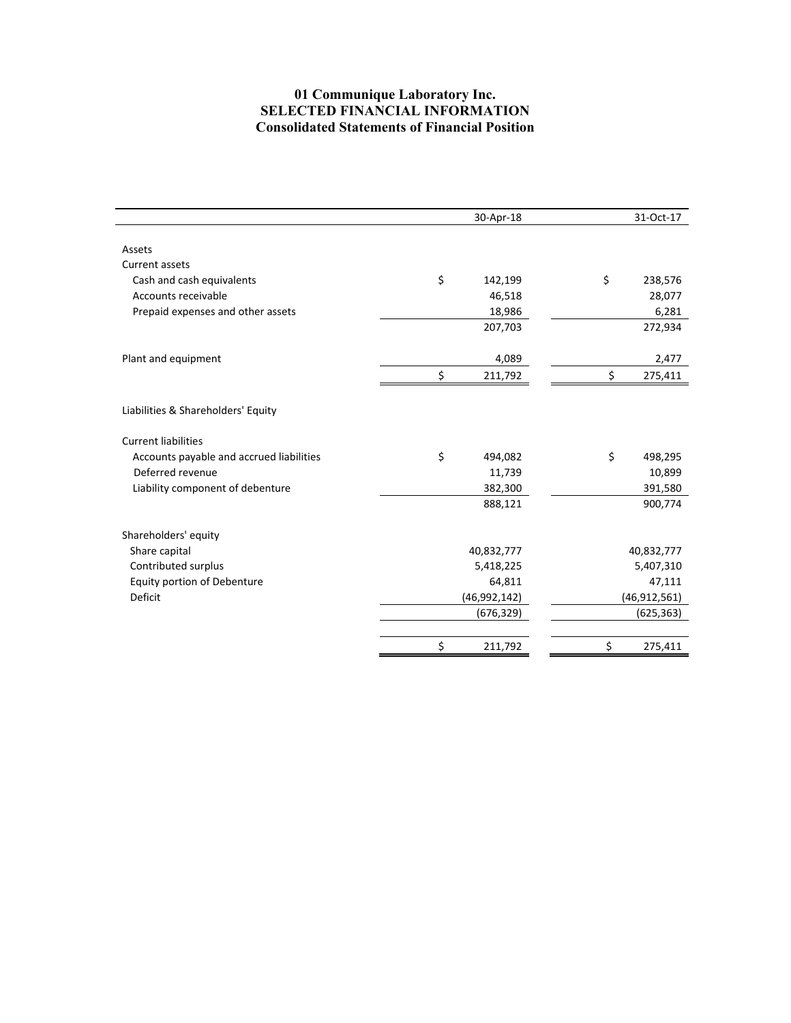### **01 Communique Laboratory Inc. SELECTED FINANCIAL INFORMATION Consolidated Statements of Financial Position**

| 30-Apr-18                      |         | 31-Oct-17  |  |  |
|--------------------------------|---------|------------|--|--|
|                                |         |            |  |  |
|                                |         |            |  |  |
|                                |         |            |  |  |
| \$<br>142,199                  | \$      | 238,576    |  |  |
| 46,518                         |         | 28,077     |  |  |
| 18,986                         |         | 6,281      |  |  |
| 207,703                        |         | 272,934    |  |  |
| 4,089                          |         | 2,477      |  |  |
| \$<br>211,792                  | \$      | 275,411    |  |  |
|                                |         |            |  |  |
|                                |         |            |  |  |
| \$<br>494,082                  | \$      | 498,295    |  |  |
| 11,739                         |         | 10,899     |  |  |
| 382,300                        |         | 391,580    |  |  |
| 888,121                        |         | 900,774    |  |  |
|                                |         |            |  |  |
| 40,832,777                     |         | 40,832,777 |  |  |
| 5,418,225                      |         | 5,407,310  |  |  |
| 64,811                         |         | 47,111     |  |  |
| (46,992,142)<br>(46, 912, 561) |         |            |  |  |
| (676, 329)                     |         | (625, 363) |  |  |
|                                |         | 275,411    |  |  |
| \$                             | 211,792 | \$         |  |  |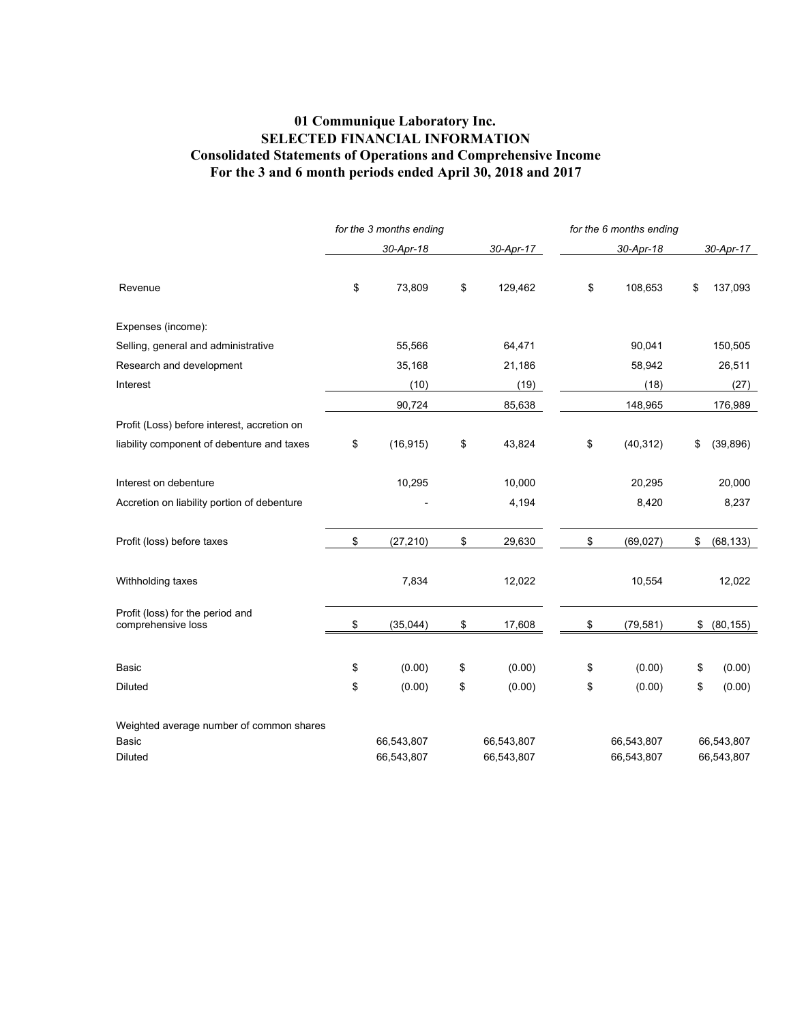# **01 Communique Laboratory Inc. SELECTED FINANCIAL INFORMATION Consolidated Statements of Operations and Comprehensive Income For the 3 and 6 month periods ended April 30, 2018 and 2017**

|                                                        | for the 3 months ending |            |    | for the 6 months ending |          |            |    |                  |
|--------------------------------------------------------|-------------------------|------------|----|-------------------------|----------|------------|----|------------------|
|                                                        |                         | 30-Apr-18  |    | 30-Apr-17               |          | 30-Apr-18  |    | 30-Apr-17        |
| Revenue                                                | \$                      | 73,809     | \$ | 129,462                 | \$       | 108,653    | \$ | 137,093          |
| Expenses (income):                                     |                         |            |    |                         |          |            |    |                  |
| Selling, general and administrative                    |                         | 55,566     |    | 64,471                  |          | 90,041     |    | 150,505          |
| Research and development                               |                         | 35,168     |    | 21,186                  |          | 58,942     |    | 26,511           |
| Interest                                               |                         | (10)       |    | (19)                    |          | (18)       |    | (27)             |
|                                                        |                         | 90,724     |    | 85,638                  |          | 148,965    |    | 176,989          |
| Profit (Loss) before interest, accretion on            |                         |            |    |                         |          |            |    |                  |
| liability component of debenture and taxes             | \$                      | (16, 915)  | \$ | 43,824                  | \$       | (40, 312)  | \$ | (39, 896)        |
| Interest on debenture                                  |                         | 10,295     |    | 10,000                  |          | 20,295     |    | 20,000           |
| Accretion on liability portion of debenture            |                         |            |    | 4,194                   |          | 8,420      |    | 8,237            |
| Profit (loss) before taxes                             | \$                      | (27, 210)  | \$ | 29,630                  | \$       | (69, 027)  | \$ | (68, 133)        |
| Withholding taxes                                      |                         | 7,834      |    | 12,022                  |          | 10,554     |    | 12,022           |
| Profit (loss) for the period and<br>comprehensive loss | \$                      | (35,044)   | \$ | 17,608                  | \$       | (79, 581)  | \$ | (80, 155)        |
| <b>Basic</b>                                           |                         | (0.00)     | \$ | (0.00)                  |          | (0.00)     | \$ |                  |
| <b>Diluted</b>                                         | \$<br>\$                | (0.00)     | \$ | (0.00)                  | \$<br>\$ | (0.00)     | \$ | (0.00)<br>(0.00) |
|                                                        |                         |            |    |                         |          |            |    |                  |
| Weighted average number of common shares               |                         |            |    |                         |          |            |    |                  |
| Basic                                                  |                         | 66,543,807 |    | 66,543,807              |          | 66,543,807 |    | 66,543,807       |
| <b>Diluted</b>                                         |                         | 66,543,807 |    | 66,543,807              |          | 66,543,807 |    | 66,543,807       |